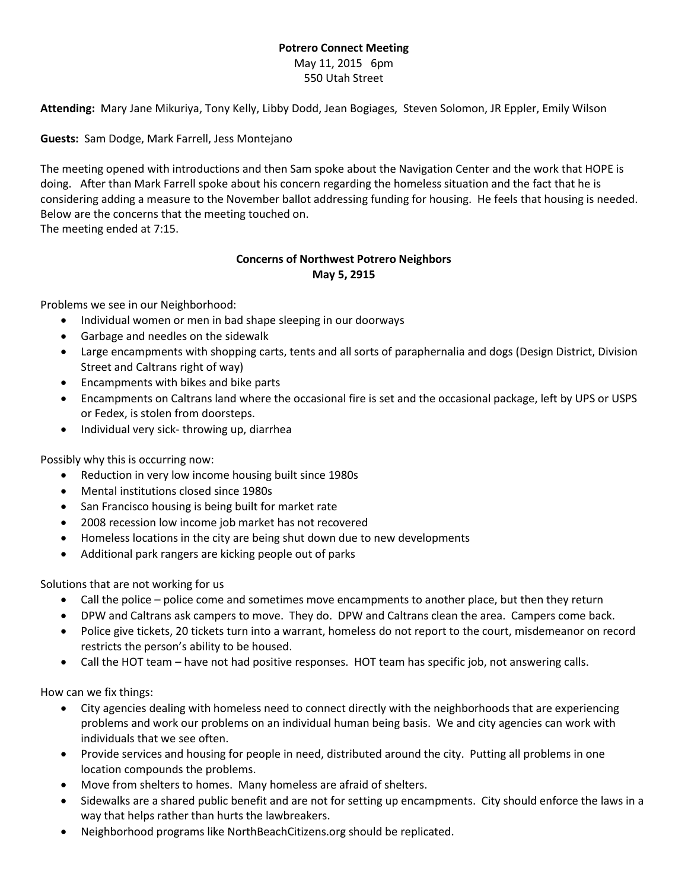## **Potrero Connect Meeting**

May 11, 2015 6pm 550 Utah Street

**Attending:** Mary Jane Mikuriya, Tony Kelly, Libby Dodd, Jean Bogiages, Steven Solomon, JR Eppler, Emily Wilson

**Guests:** Sam Dodge, Mark Farrell, Jess Montejano

The meeting opened with introductions and then Sam spoke about the Navigation Center and the work that HOPE is doing. After than Mark Farrell spoke about his concern regarding the homeless situation and the fact that he is considering adding a measure to the November ballot addressing funding for housing. He feels that housing is needed. Below are the concerns that the meeting touched on.

The meeting ended at 7:15.

## **Concerns of Northwest Potrero Neighbors May 5, 2915**

Problems we see in our Neighborhood:

- Individual women or men in bad shape sleeping in our doorways
- Garbage and needles on the sidewalk
- Large encampments with shopping carts, tents and all sorts of paraphernalia and dogs (Design District, Division Street and Caltrans right of way)
- Encampments with bikes and bike parts
- Encampments on Caltrans land where the occasional fire is set and the occasional package, left by UPS or USPS or Fedex, is stolen from doorsteps.
- Individual very sick- throwing up, diarrhea

Possibly why this is occurring now:

- Reduction in very low income housing built since 1980s
- Mental institutions closed since 1980s
- San Francisco housing is being built for market rate
- 2008 recession low income job market has not recovered
- Homeless locations in the city are being shut down due to new developments
- Additional park rangers are kicking people out of parks

Solutions that are not working for us

- Call the police police come and sometimes move encampments to another place, but then they return
- DPW and Caltrans ask campers to move. They do. DPW and Caltrans clean the area. Campers come back.
- Police give tickets, 20 tickets turn into a warrant, homeless do not report to the court, misdemeanor on record restricts the person's ability to be housed.
- Call the HOT team have not had positive responses. HOT team has specific job, not answering calls.

How can we fix things:

- City agencies dealing with homeless need to connect directly with the neighborhoods that are experiencing problems and work our problems on an individual human being basis. We and city agencies can work with individuals that we see often.
- Provide services and housing for people in need, distributed around the city. Putting all problems in one location compounds the problems.
- Move from shelters to homes. Many homeless are afraid of shelters.
- Sidewalks are a shared public benefit and are not for setting up encampments. City should enforce the laws in a way that helps rather than hurts the lawbreakers.
- Neighborhood programs like NorthBeachCitizens.org should be replicated.